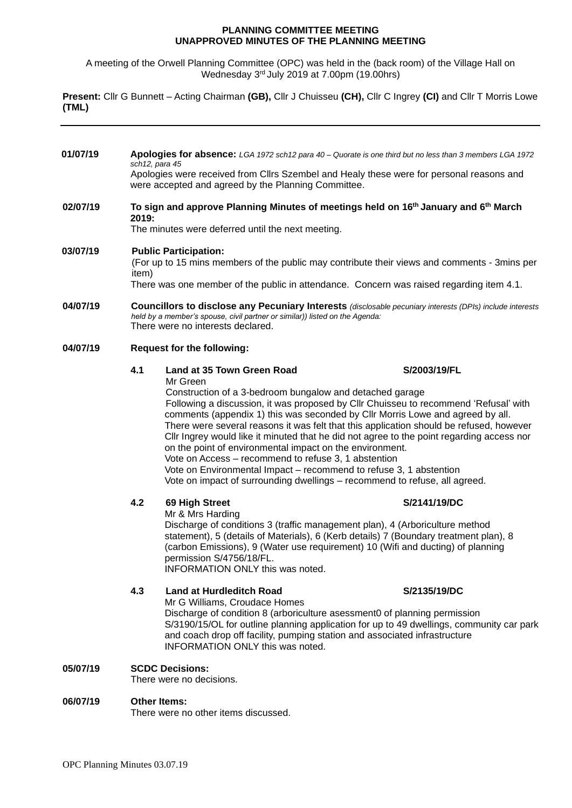#### **PLANNING COMMITTEE MEETING UNAPPROVED MINUTES OF THE PLANNING MEETING**

A meeting of the Orwell Planning Committee (OPC) was held in the (back room) of the Village Hall on Wednesday 3 rd July 2019 at 7.00pm (19.00hrs)

**Present:** Cllr G Bunnett – Acting Chairman **(GB),** Cllr J Chuisseu **(CH),** Cllr C Ingrey **(CI)** and Cllr T Morris Lowe **(TML)**

**01/07/19 Apologies for absence:** *LGA 1972 sch12 para 40 – Quorate is one third but no less than 3 members LGA 1972 sch12, para 45* Apologies were received from Cllrs Szembel and Healy these were for personal reasons and were accepted and agreed by the Planning Committee. **02/07/19 To sign and approve Planning Minutes of meetings held on 16th January and 6 th March 2019:** The minutes were deferred until the next meeting. **03/07/19 Public Participation:** (For up to 15 mins members of the public may contribute their views and comments - 3mins per item) There was one member of the public in attendance. Concern was raised regarding item 4.1. **04/07/19 Councillors to disclose any Pecuniary Interests** *(disclosable pecuniary interests (DPIs) include interests held by a member's spouse, civil partner or similar)) listed on the Agenda:* There were no interests declared. **04/07/19 Request for the following: 4.1 Land at 35 Town Green Road S/2003/19/FL** Mr Green Construction of a 3-bedroom bungalow and detached garage Following a discussion, it was proposed by Cllr Chuisseu to recommend 'Refusal' with comments (appendix 1) this was seconded by Cllr Morris Lowe and agreed by all. There were several reasons it was felt that this application should be refused, however Cllr Ingrey would like it minuted that he did not agree to the point regarding access nor on the point of environmental impact on the environment. Vote on Access – recommend to refuse 3, 1 abstention Vote on Environmental Impact – recommend to refuse 3, 1 abstention Vote on impact of surrounding dwellings – recommend to refuse, all agreed. **4.2 69 High Street S/2141/19/DC** Mr & Mrs Harding Discharge of conditions 3 (traffic management plan), 4 (Arboriculture method statement), 5 (details of Materials), 6 (Kerb details) 7 (Boundary treatment plan), 8 (carbon Emissions), 9 (Water use requirement) 10 (Wifi and ducting) of planning permission S/4756/18/FL. INFORMATION ONLY this was noted. **4.3 Land at Hurdleditch Road S/2135/19/DC** Mr G Williams, Croudace Homes Discharge of condition 8 (arboriculture asessment0 of planning permission S/3190/15/OL for outline planning application for up to 49 dwellings, community car park and coach drop off facility, pumping station and associated infrastructure INFORMATION ONLY this was noted. **05/07/19 SCDC Decisions:** There were no decisions.

#### **06/07/19 Other Items:** There were no other items discussed.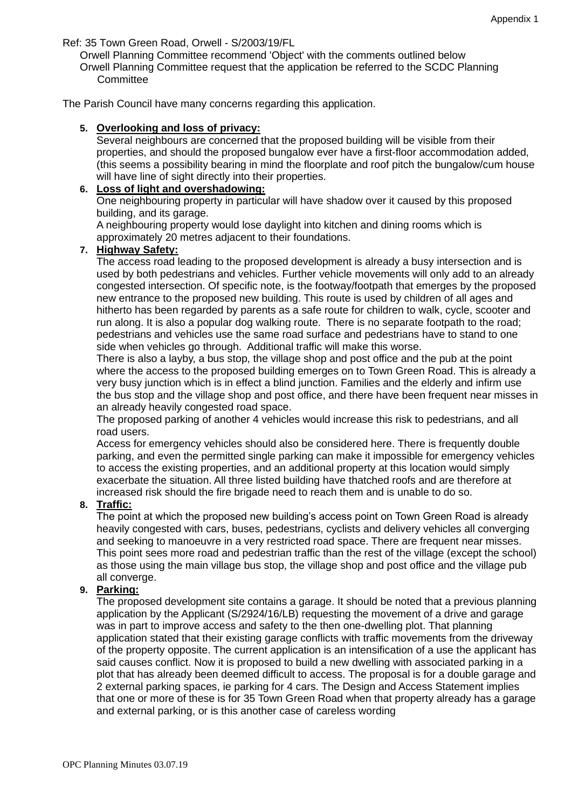Ref: 35 Town Green Road, Orwell - S/2003/19/FL

Orwell Planning Committee recommend 'Object' with the comments outlined below Orwell Planning Committee request that the application be referred to the SCDC Planning **Committee** 

The Parish Council have many concerns regarding this application.

#### **5. Overlooking and loss of privacy:**

Several neighbours are concerned that the proposed building will be visible from their properties, and should the proposed bungalow ever have a first-floor accommodation added, (this seems a possibility bearing in mind the floorplate and roof pitch the bungalow/cum house will have line of sight directly into their properties.

## **6. Loss of light and overshadowing:**

One neighbouring property in particular will have shadow over it caused by this proposed building, and its garage.

A neighbouring property would lose daylight into kitchen and dining rooms which is approximately 20 metres adjacent to their foundations.

### **7. Highway Safety:**

The access road leading to the proposed development is already a busy intersection and is used by both pedestrians and vehicles. Further vehicle movements will only add to an already congested intersection. Of specific note, is the footway/footpath that emerges by the proposed new entrance to the proposed new building. This route is used by children of all ages and hitherto has been regarded by parents as a safe route for children to walk, cycle, scooter and run along. It is also a popular dog walking route. There is no separate footpath to the road; pedestrians and vehicles use the same road surface and pedestrians have to stand to one side when vehicles go through. Additional traffic will make this worse.

There is also a layby, a bus stop, the village shop and post office and the pub at the point where the access to the proposed building emerges on to Town Green Road. This is already a very busy junction which is in effect a blind junction. Families and the elderly and infirm use the bus stop and the village shop and post office, and there have been frequent near misses in an already heavily congested road space.

The proposed parking of another 4 vehicles would increase this risk to pedestrians, and all road users.

Access for emergency vehicles should also be considered here. There is frequently double parking, and even the permitted single parking can make it impossible for emergency vehicles to access the existing properties, and an additional property at this location would simply exacerbate the situation. All three listed building have thatched roofs and are therefore at increased risk should the fire brigade need to reach them and is unable to do so.

## **8. Traffic:**

The point at which the proposed new building's access point on Town Green Road is already heavily congested with cars, buses, pedestrians, cyclists and delivery vehicles all converging and seeking to manoeuvre in a very restricted road space. There are frequent near misses. This point sees more road and pedestrian traffic than the rest of the village (except the school) as those using the main village bus stop, the village shop and post office and the village pub all converge.

## **9. Parking:**

The proposed development site contains a garage. It should be noted that a previous planning application by the Applicant (S/2924/16/LB) requesting the movement of a drive and garage was in part to improve access and safety to the then one-dwelling plot. That planning application stated that their existing garage conflicts with traffic movements from the driveway of the property opposite. The current application is an intensification of a use the applicant has said causes conflict. Now it is proposed to build a new dwelling with associated parking in a plot that has already been deemed difficult to access. The proposal is for a double garage and 2 external parking spaces, ie parking for 4 cars. The Design and Access Statement implies that one or more of these is for 35 Town Green Road when that property already has a garage and external parking, or is this another case of careless wording